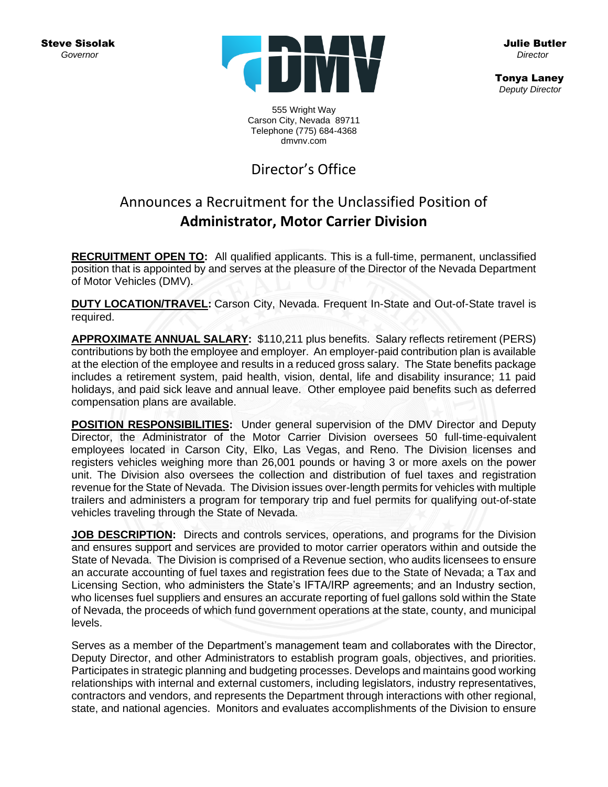Steve Sisolak  *Governor*



Julie Butler  *Director* 

 Tonya Laney  *Deputy Director*

555 Wright Way Carson City, Nevada 89711 Telephone (775) 684-4368 dmvnv.com

# Director's Office

## Announces a Recruitment for the Unclassified Position of **Administrator, Motor Carrier Division**

**RECRUITMENT OPEN TO:** All qualified applicants. This is a full-time, permanent, unclassified position that is appointed by and serves at the pleasure of the Director of the Nevada Department of Motor Vehicles (DMV).

**DUTY LOCATION/TRAVEL:** Carson City, Nevada. Frequent In-State and Out-of-State travel is required.

**APPROXIMATE ANNUAL SALARY:** \$110,211 plus benefits. Salary reflects retirement (PERS) contributions by both the employee and employer. An employer-paid contribution plan is available at the election of the employee and results in a reduced gross salary. The State benefits package includes a retirement system, paid health, vision, dental, life and disability insurance; 11 paid holidays, and paid sick leave and annual leave. Other employee paid benefits such as deferred compensation plans are available.

**POSITION RESPONSIBILITIES:** Under general supervision of the DMV Director and Deputy Director, the Administrator of the Motor Carrier Division oversees 50 full-time-equivalent employees located in Carson City, Elko, Las Vegas, and Reno. The Division licenses and registers vehicles weighing more than 26,001 pounds or having 3 or more axels on the power unit. The Division also oversees the collection and distribution of fuel taxes and registration revenue for the State of Nevada. The Division issues over-length permits for vehicles with multiple trailers and administers a program for temporary trip and fuel permits for qualifying out-of-state vehicles traveling through the State of Nevada.

**JOB DESCRIPTION:** Directs and controls services, operations, and programs for the Division and ensures support and services are provided to motor carrier operators within and outside the State of Nevada. The Division is comprised of a Revenue section, who audits licensees to ensure an accurate accounting of fuel taxes and registration fees due to the State of Nevada; a Tax and Licensing Section, who administers the State's IFTA/IRP agreements; and an Industry section, who licenses fuel suppliers and ensures an accurate reporting of fuel gallons sold within the State of Nevada, the proceeds of which fund government operations at the state, county, and municipal levels.

Serves as a member of the Department's management team and collaborates with the Director, Deputy Director, and other Administrators to establish program goals, objectives, and priorities. Participates in strategic planning and budgeting processes. Develops and maintains good working relationships with internal and external customers, including legislators, industry representatives, contractors and vendors, and represents the Department through interactions with other regional, state, and national agencies. Monitors and evaluates accomplishments of the Division to ensure